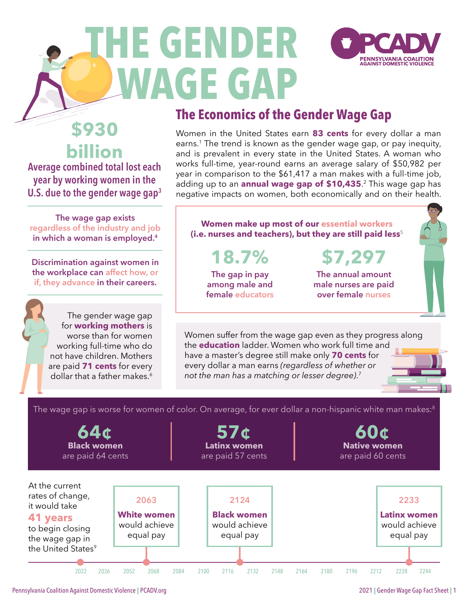

# <span id="page-0-0"></span>**THE GENDER WAGE GAP**

### **The Economics of the Gender Wage Gap**

Women in the United States earn **83 cents** for every dollar a man earns.<sup>1</sup> The trend is known as the gender wage gap, or pay inequity, and is prevalent in every state in the United States. A woman who works full-time, year-round earns an average salary of \$50,982 per year in comparison to the \$61,417 a man makes with a full-time job, adding up to an **annual wage gap of \$10,435**. [2](#page-7-0) This wage gap has negative impacts on women, both economically and on their health.

**The wage gap exists regardless of the industry and job in which a woman is employed[.4](#page-7-0)**

**\$930** 

**billion**

**Average combined total lost each year by working women in the U.S. due to the gender wage gap[3](#page-7-0)**

**Discrimination against women in the workplace can affect how, or if, they advance in their careers.** 

> The gender wage gap for **working mothers** is worse than for women working full-time who do not have children. Mothers are paid **71 cents** for every dollar that a father makes.<sup>6</sup>

#### **Women make up most of our essential workers (i.e. nurses and teachers), but they are still paid less**[5](#page-7-0)

**18.7%**

**The gap in pay among male and female educators** 

**The annual amount male nurses are paid over female nurses**

**\$7,297**

Women suffer from the wage gap even as they progress along the **education** ladder. Women who work full time and have a master's degree still make only **70 cents** for every dollar a man earns *(regardless of whether or not the man has a matching or lesser degree)*. [7](#page-7-0)

The wage gap is worse for women of color. On average, for ever dollar a non-hispanic white man makes:<sup>8</sup>



[Pennsylvania Coalition Against Domestic Violence](https://www.pcadv.org/) | PCADV.org 2021 | Gender Wage Gap Fact Sheet | 1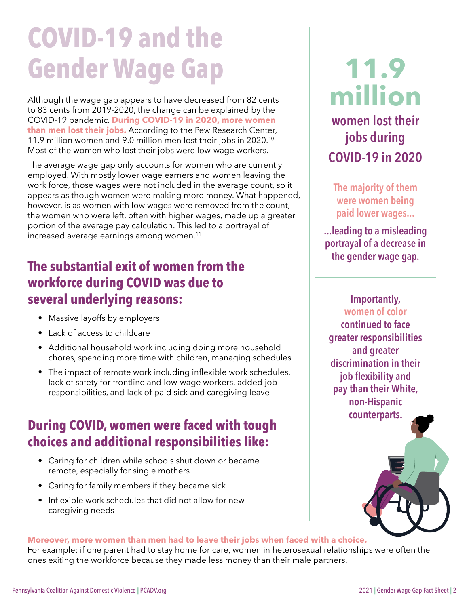## <span id="page-1-0"></span>**COVID-19 and the Gender Wage Gap**

Although the wage gap appears to have decreased from 82 cents to 83 cents from 2019-2020, the change can be explained by the COVID-19 pandemic. **During COVID-19 in 2020, more women than men lost their jobs.** According to the Pew Research Center, 11.9 million women and 9.0 million men lost their jobs in 2020[.10](#page-7-0) Most of the women who lost their jobs were low-wage workers.

The average wage gap only accounts for women who are currently employed. With mostly lower wage earners and women leaving the work force, those wages were not included in the average count, so it appears as though women were making more money. What happened, however, is as women with low wages were removed from the count, the women who were left, often with higher wages, made up a greater portion of the average pay calculation. This led to a portrayal of increased average earnings among women.<sup>11</sup>

### **The substantial exit of women from the workforce during COVID was due to several underlying reasons:**

- Massive layoffs by employers
- Lack of access to childcare
- Additional household work including doing more household chores, spending more time with children, managing schedules
- The impact of remote work including inflexible work schedules, lack of safety for frontline and low-wage workers, added job responsibilities, and lack of paid sick and caregiving leave

## **During COVID, women were faced with tough choices and additional responsibilities like:**

- Caring for children while schools shut down or became remote, especially for single mothers
- Caring for family members if they became sick
- Inflexible work schedules that did not allow for new caregiving needs

## **11.9 million women lost their jobs during COVID-19 in 2020**

**The majority of them were women being paid lower wages...**

**...leading to a misleading portrayal of a decrease in the gender wage gap.**

> **Importantly, women of color**

**continued to face greater responsibilities and greater discrimination in their job flexibility and pay than their White, non-Hispanic counterparts.**



#### **Moreover, more women than men had to leave their jobs when faced with a choice.**

For example: if one parent had to stay home for care, women in heterosexual relationships were often the ones exiting the workforce because they made less money than their male partners.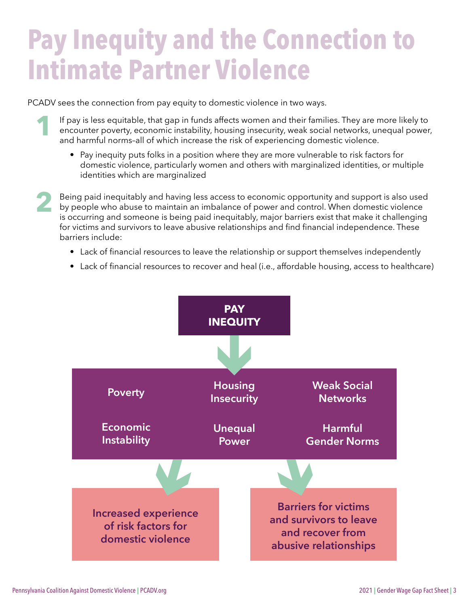## **Pay Inequity and the Connection to Intimate Partner Violence**

PCADV sees the connection from pay equity to domestic violence in two ways.

- **1** If pay is less equitable, that gap in funds affects women and their families. They are more likely to encounter poverty, economic instability, housing insecurity, weak social networks, unequal power, and harmful norms–all of which increase the risk of experiencing domestic violence.
	- Pay inequity puts folks in a position where they are more vulnerable to risk factors for domestic violence, particularly women and others with marginalized identities, or multiple identities which are marginalized

**2** Being paid inequitably and having less access to economic opportunity and support is also used by people who abuse to maintain an imbalance of power and control. When domestic violence is occurring and someone is being paid inequitably, major barriers exist that make it challenging for victims and survivors to leave abusive relationships and find financial independence. These barriers include:

- Lack of financial resources to leave the relationship or support themselves independently
- Lack of financial resources to recover and heal (i.e., affordable housing, access to healthcare)

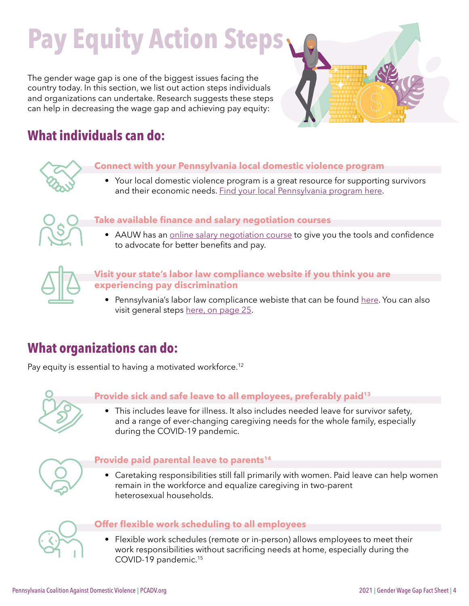## <span id="page-3-0"></span>**Pay Equity Action Steps**

The gender wage gap is one of the biggest issues facing the country today. In this section, we list out action steps individuals and organizations can undertake. Research suggests these steps can help in decreasing the wage gap and achieving pay equity:



## **What individuals can do:**

#### **Connect with your Pennsylvania local domestic violence program**

• Your local domestic violence program is a great resource for supporting survivors and their economic needs. [Find your local Pennsylvania program here.](https://www.pcadv.org/find-help/)



#### **Take available finance and salary negotiation courses**

• AAUW has an [online salary negotiation course](https://www.aauw.org/resources/programs/salary/) to give you the tools and confidence to advocate for better benefits and pay.



#### **Visit your state's labor law compliance website if you think you are experiencing pay discrimination**

• Pennsylvania's labor law complicance webiste that can be found [here](https://www.dli.pa.gov/Individuals/Labor-Management-Relations/llc/Pages/Labor-Law-Compliance.aspx). You can also visit general steps [here, on page 25](https://ww3.aauw.org/files/2018/10/AAUW-2018-SimpleTruth-nsa.pdf).

### **What organizations can do:**

Pay equity is essential to having a motivated workforce.<sup>[12](#page-7-0)</sup>



#### **Provide sick and safe leave to all employees, preferably paid[13](#page-7-0)**

• This includes leave for illness. It also includes needed leave for survivor safety, and a range of ever-changing caregiving needs for the whole family, especially during the COVID-19 pandemic.



#### **Provide paid parental leave to parent[s14](#page-7-0)**

• Caretaking responsibilities still fall primarily with women. Paid leave can help women remain in the workforce and equalize caregiving in two-parent heterosexual households.



#### **Offer flexible work scheduling to all employees**

• Flexible work schedules (remote or in-person) allows employees to meet their work responsibilities without sacrificing needs at home, especially during the COVID-19 pandemic.[15](#page-7-0)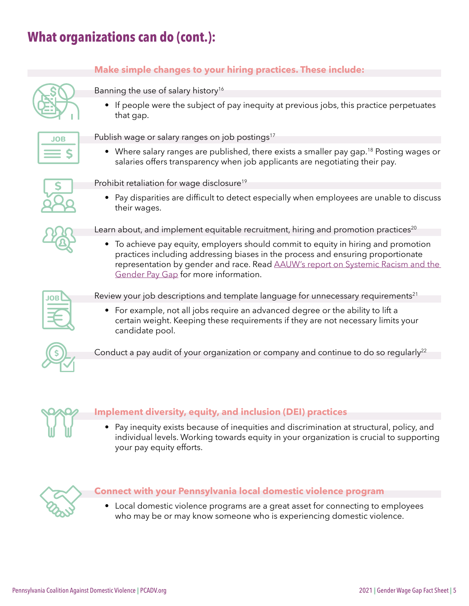## <span id="page-4-0"></span>**What organizations can do (cont.):**

#### **Make simple changes to your hiring practices. These include:**

Banning the use of salary history<sup>16</sup>

• If people were the subject of pay inequity at previous jobs, this practice perpetuates that gap.



Publish wage or salary ranges on job postings<sup>17</sup>

• Where salary ranges are published, there exists a smaller pay gap.<sup>[18](#page-7-0)</sup> Posting wages or salaries offers transparency when job applicants are negotiating their pay.



Prohibit retaliation for wage disclosure<sup>19</sup>

• Pay disparities are difficult to detect especially when employees are unable to discuss their wages.



Learn about, and implement equitable recruitment, hiring and promotion practices<sup>[20](#page-7-0)</sup>

• To achieve pay equity, employers should commit to equity in hiring and promotion practices including addressing biases in the process and ensuring proportionate representation by gender and race. Read [AAUW's report on Systemic Racism and the](https://www.aauw.org/app/uploads/2021/07/SimpleTruth_4.0-1.pdf)  [Gender Pay Gap](https://www.aauw.org/app/uploads/2021/07/SimpleTruth_4.0-1.pdf) for more information.



Review your job descriptions and template language for unnecessary requirements<sup>[21](#page-7-0)</sup>

• For example, not all jobs require an advanced degree or the ability to lift a certain weight. Keeping these requirements if they are not necessary limits your candidate pool.



Conduct a pay audit of your organization or company and continue to do so regularly<sup>[22](#page-7-0)</sup>



#### **Implement diversity, equity, and inclusion (DEI) practices**

• Pay inequity exists because of inequities and discrimination at structural, policy, and individual levels. Working towards equity in your organization is crucial to supporting your pay equity efforts.



#### **Connect with your Pennsylvania local domestic violence program**

• Local domestic violence programs are a great asset for connecting to employees who may be or may know someone who is experiencing domestic violence.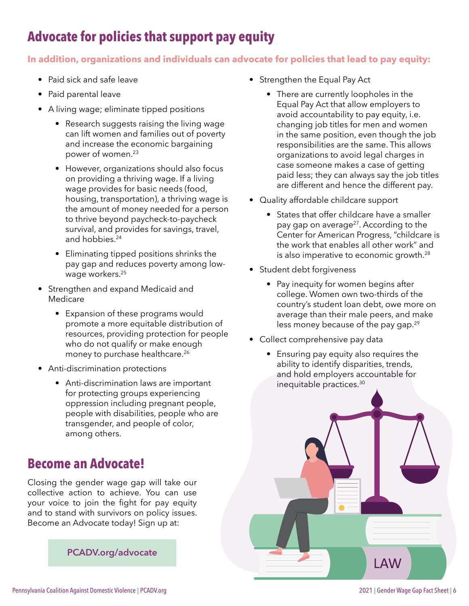## <span id="page-5-0"></span>**Advocate for policies that support pay equity**

#### **In addition, organizations and individuals can advocate for policies that lead to pay equity:**

- Paid sick and safe leave
- Paid parental leave
- A living wage; eliminate tipped positions
	- Research suggests raising the living wage can lift women and families out of poverty and increase the economic bargaining power of women.[23](#page-7-0)
	- However, organizations should also focus on providing a thriving wage. If a living wage provides for basic needs (food, housing, transportation), a thriving wage is the amount of money needed for a person to thrive beyond paycheck-to-paycheck survival, and provides for savings, travel, and hobbies.<sup>24</sup>
	- Eliminating tipped positions shrinks the pay gap and reduces poverty among low-wage workers.<sup>[25](#page-8-0)</sup>
- Strengthen and expand Medicaid and Medicare
	- Expansion of these programs would promote a more equitable distribution of resources, providing protection for people who do not qualify or make enough money to purchase healthcare.<sup>26</sup>
- Anti-discrimination protections
	- Anti-discrimination laws are important for protecting groups experiencing oppression including pregnant people, people with disabilities, people who are transgender, and people of color, among others.

### **Become an Advocate!**

Closing the gender wage gap will take our collective action to achieve. You can use your voice to join the fight for pay equity and to stand with survivors on policy issues. Become an Advocate today! Sign up at:

**[PCADV.org/advocate](https://www.pcadv.org/get-involved/find-your-legislator/)**

- Strengthen the Equal Pay Act
	- There are currently loopholes in the Equal Pay Act that allow employers to avoid accountability to pay equity, i.e. changing job titles for men and women in the same position, even though the job responsibilities are the same. This allows organizations to avoid legal charges in case someone makes a case of getting paid less; they can always say the job titles are different and hence the different pay.
- Quality affordable childcare support
	- States that offer childcare have a smaller pay gap on average<sup>27</sup>. According to the Center for American Progress, "childcare is the work that enables all other work" and is also imperative to economic growth.[28](#page-8-0)
- Student debt forgiveness
	- Pay inequity for women begins after college. Women own two-thirds of the country's student loan debt, owe more on average than their male peers, and make less money because of the pay gap.<sup>[29](#page-8-0)</sup>
- Collect comprehensive pay data
	- Ensuring pay equity also requires the ability to identify disparities, trends, and hold employers accountable for inequitable practices[.30](#page-8-0)

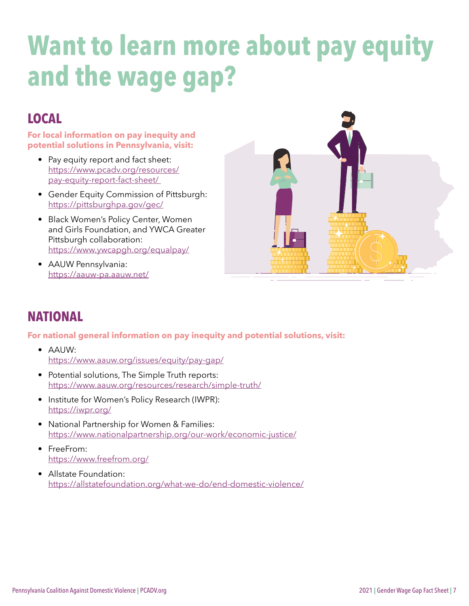## **Want to learn more about pay equity and the wage gap?**

## **LOCAL**

**For local information on pay inequity and potential solutions in Pennsylvania, visit:** 

- Pay equity report and fact sheet: [https://www.pcadv.org/resources/](https://www.pcadv.org/resources/pay-equity-report-fact-sheet/) [pay-equity-report-fact-sheet/](https://www.pcadv.org/resources/pay-equity-report-fact-sheet/)
- Gender Equity Commission of Pittsburgh: <https://pittsburghpa.gov/gec/>
- Black Women's Policy Center, Women and Girls Foundation, and YWCA Greater Pittsburgh collaboration: [https://www.ywcapgh.org/equalpay/](https://www.ywcapgh.org/equalpay/   )
- AAUW Pennsylvania: [https://aauw-pa.aauw.net/](https://aauw-pa.aauw.net/    )



### **NATIONAL**

#### **For national general information on pay inequity and potential solutions, visit:**

- AAUW: [https://www.aauw.org/issues/equity/pay-gap/](https://www.aauw.org/issues/equity/pay-gap/   )
- Potential solutions, The Simple Truth reports: [https://www.aauw.org/resources/research/simple-truth/](https://www.aauw.org/resources/research/simple-truth/   )
- Institute for Women's Policy Research (IWPR): [https://iwpr.org/](https://iwpr.org/   )
- National Partnership for Women & Families: <https://www.nationalpartnership.org/our-work/economic-justice/>
- FreeFrom: <https://www.freefrom.org/>
- Allstate Foundation: <https://allstatefoundation.org/what-we-do/end-domestic-violence/>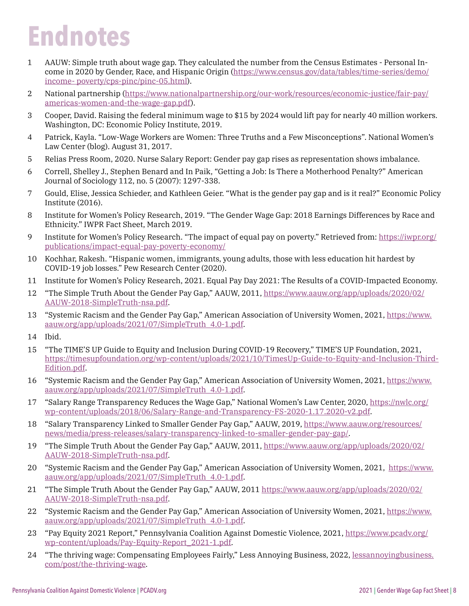## <span id="page-7-0"></span>**Endnotes**

- [1](#page-0-0) AAUW: Simple truth about wage gap. They calculated the number from the Census Estimates Personal Income in 2020 by Gender, Race, and Hispanic Origin ([https://www.census.gov/data/tables/time-series/demo/](https://www.census.gov/data/tables/time-series/demo/income- poverty/cps-pinc/pinc-05.html) [income- poverty/cps-pinc/pinc-05.html](https://www.census.gov/data/tables/time-series/demo/income- poverty/cps-pinc/pinc-05.html)).
- [2](#page-0-0) National partnership [\(https://www.nationalpartnership.org/our-work/resources/economic-justice/fair-pay/](https://www.nationalpartnership.org/our-work/resources/economic-justice/fair-pay/americas-women-and-) [americas-women-and-the-wage-gap.pdf](https://www.nationalpartnership.org/our-work/resources/economic-justice/fair-pay/americas-women-and-)).
- [3](#page-0-0) Cooper, David. Raising the federal minimum wage to \$15 by 2024 would lift pay for nearly 40 million workers. Washington, DC: Economic Policy Institute, 2019.
- [4](#page-0-0) Patrick, Kayla. "Low-Wage Workers are Women: Three Truths and a Few Misconceptions". National Women's Law Center (blog). August 31, 2017.
- [5](#page-0-0) Relias Press Room, 2020. Nurse Salary Report: Gender pay gap rises as representation shows imbalance.
- [6](#page-0-0) Correll, Shelley J., Stephen Benard and In Paik, "Getting a Job: Is There a Motherhood Penalty?" American Journal of Sociology 112, no. 5 (2007): 1297-338.
- [7](#page-0-0) Gould, Elise, Jessica Schieder, and Kathleen Geier. "What is the gender pay gap and is it real?" Economic Policy Institute (2016).
- [8](#page-0-0) Institute for Women's Policy Research, 2019. "The Gender Wage Gap: 2018 Earnings Differences by Race and Ethnicity." IWPR Fact Sheet, March 2019.
- [9](#page-0-0) Institute for Women's Policy Research. "The impact of equal pay on poverty." Retrieved from: [https://iwpr.org/](https://iwpr.org/publications/impact-equal-pay-poverty-economy/ ) [publications/impact-equal-pay-poverty-economy/](https://iwpr.org/publications/impact-equal-pay-poverty-economy/ )
- [10](#page-1-0) Kochhar, Rakesh. "Hispanic women, immigrants, young adults, those with less education hit hardest by COVID-19 job losses." Pew Research Center (2020).
- [11](#page-1-0) Institute for Women's Policy Research, 2021. Equal Pay Day 2021: The Results of a COVID-Impacted Economy.
- [12](#page-3-0) "The Simple Truth About the Gender Pay Gap," AAUW, 2011, [https://www.aauw.org/app/uploads/2020/02/](https://www.aauw.org/app/uploads/2020/02/AAUW-2018-SimpleTruth-nsa.pdf) [AAUW-2018-SimpleTruth-nsa.pdf](https://www.aauw.org/app/uploads/2020/02/AAUW-2018-SimpleTruth-nsa.pdf).
- [13](#page-3-0) "Systemic Racism and the Gender Pay Gap," American Association of University Women, 2021, [https://www.](https://www.aauw.org/app/uploads/2021/07/SimpleTruth_4.0-1.pdf) [aauw.org/app/uploads/2021/07/SimpleTruth\\_4.0-1.pdf.](https://www.aauw.org/app/uploads/2021/07/SimpleTruth_4.0-1.pdf)
- [14](#page-3-0) Ibid.
- [15](#page-3-0) "The TIME'S UP Guide to Equity and Inclusion During COVID-19 Recovery," TIME'S UP Foundation, 2021, [https://timesupfoundation.org/wp-content/uploads/2021/10/TimesUp-Guide-to-Equity-and-Inclusion-Third-](https://timesupfoundation.org/wp-content/uploads/2021/10/TimesUp-Guide-to-Equity-and-Inclusion-Third)[Edition.pdf](https://timesupfoundation.org/wp-content/uploads/2021/10/TimesUp-Guide-to-Equity-and-Inclusion-Third).
- [16](#page-4-0) "Systemic Racism and the Gender Pay Gap," American Association of University Women, 2021, [https://www.](https://www.aauw.org/app/uploads/2021/07/SimpleTruth_4.0-1.pdf) [aauw.org/app/uploads/2021/07/SimpleTruth\\_4.0-1.pdf.](https://www.aauw.org/app/uploads/2021/07/SimpleTruth_4.0-1.pdf)
- [17](#page-4-0) "Salary Range Transparency Reduces the Wage Gap," National Women's Law Center, 2020, [https://nwlc.org/](https://nwlc.org/wp-content/uploads/2018/06/Salary-Range-and-Transparency-FS-2020-1.17.2020-v2.pdf) [wp-content/uploads/2018/06/Salary-Range-and-Transparency-FS-2020-1.17.2020-v2.pdf](https://nwlc.org/wp-content/uploads/2018/06/Salary-Range-and-Transparency-FS-2020-1.17.2020-v2.pdf).
- [18](#page-4-0) "Salary Transparency Linked to Smaller Gender Pay Gap," AAUW, 2019, [https://www.aauw.org/resources/](https://www.aauw.org/resources/news/media/press-releases/salary-transparency-linked-to-smaller-gende) [news/media/press-releases/salary-transparency-linked-to-smaller-gender-pay-gap/.](https://www.aauw.org/resources/news/media/press-releases/salary-transparency-linked-to-smaller-gende)
- [19](#page-4-0) "The Simple Truth About the Gender Pay Gap," AAUW, 2011, [https://www.aauw.org/app/uploads/2020/02/](https://www.aauw.org/app/uploads/2020/02/AAUW-2018-SimpleTruth-nsa.pdf) [AAUW-2018-SimpleTruth-nsa.pdf](https://www.aauw.org/app/uploads/2020/02/AAUW-2018-SimpleTruth-nsa.pdf).
- [20](#page-4-0) "Systemic Racism and the Gender Pay Gap," American Association of University Women, 2021, [https://www.](https://www.aauw.org/app/uploads/2021/07/SimpleTruth_4.0-1.pdf) [aauw.org/app/uploads/2021/07/SimpleTruth\\_4.0-1.pdf.](https://www.aauw.org/app/uploads/2021/07/SimpleTruth_4.0-1.pdf)
- [21](#page-4-0) "The Simple Truth About the Gender Pay Gap," AAUW, 2011 [https://www.aauw.org/app/uploads/2020/02/](https://www.aauw.org/app/uploads/2020/02/AAUW-2018-SimpleTruth-nsa.pdf) [AAUW-2018-SimpleTruth-nsa.pdf](https://www.aauw.org/app/uploads/2020/02/AAUW-2018-SimpleTruth-nsa.pdf).
- [22](#page-4-0) "Systemic Racism and the Gender Pay Gap," American Association of University Women, 2021, [https://www.](https://www.aauw.org/app/uploads/2021/07/SimpleTruth_4.0-1.pdf) [aauw.org/app/uploads/2021/07/SimpleTruth\\_4.0-1.pdf.](https://www.aauw.org/app/uploads/2021/07/SimpleTruth_4.0-1.pdf)
- [23](#page-5-0) "Pay Equity 2021 Report," Pennsylvania Coalition Against Domestic Violence, 2021, [https://www.pcadv.org/](https://www.pcadv.org/wp-content/uploads/Pay-Equity-Report_2021-1.pdf) [wp-content/uploads/Pay-Equity-Report\\_2021-1.pdf.](https://www.pcadv.org/wp-content/uploads/Pay-Equity-Report_2021-1.pdf)
- [24](#page-5-0) "The thriving wage: Compensating Employees Fairly," Less Annoying Business, 2022, [lessannoyingbusiness.](http://www.lessannoyingbusiness.com/post/the-thriving-wage) [com/post/the-thriving-wage](http://www.lessannoyingbusiness.com/post/the-thriving-wage).